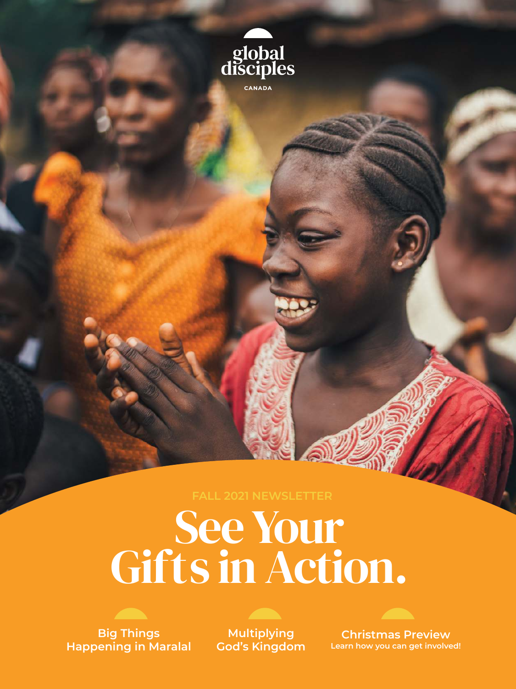

# See Your Gifts in Action.



**Multiplying God's Kingdom**

**Christmas Preview Learn how you can get involved!**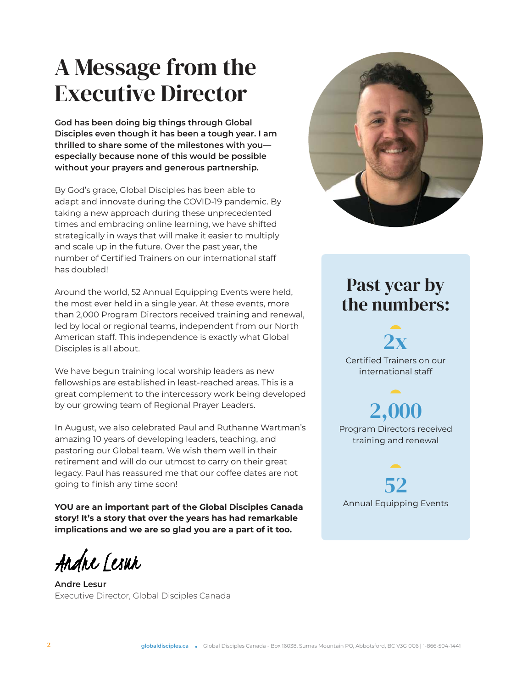## A Message from the Executive Director

**God has been doing big things through Global Disciples even though it has been a tough year. I am thrilled to share some of the milestones with you especially because none of this would be possible without your prayers and generous partnership.**

By God's grace, Global Disciples has been able to adapt and innovate during the COVID-19 pandemic. By taking a new approach during these unprecedented times and embracing online learning, we have shifted strategically in ways that will make it easier to multiply and scale up in the future. Over the past year, the number of Certified Trainers on our international staff has doubled!

Around the world, 52 Annual Equipping Events were held, the most ever held in a single year. At these events, more than 2,000 Program Directors received training and renewal, led by local or regional teams, independent from our North American staff. This independence is exactly what Global Disciples is all about.

We have begun training local worship leaders as new fellowships are established in least-reached areas. This is a great complement to the intercessory work being developed by our growing team of Regional Prayer Leaders.

In August, we also celebrated Paul and Ruthanne Wartman's amazing 10 years of developing leaders, teaching, and pastoring our Global team. We wish them well in their retirement and will do our utmost to carry on their great legacy. Paul has reassured me that our coffee dates are not going to finish any time soon!

**YOU are an important part of the Global Disciples Canada story! It's a story that over the years has had remarkable implications and we are so glad you are a part of it too.**

Andre Lesur

**Andre Lesur** Executive Director, Global Disciples Canada



## Past year by the numbers:

2x

Certified Trainers on our international staff

2,000 Program Directors received training and renewal

52 Annual Equipping Events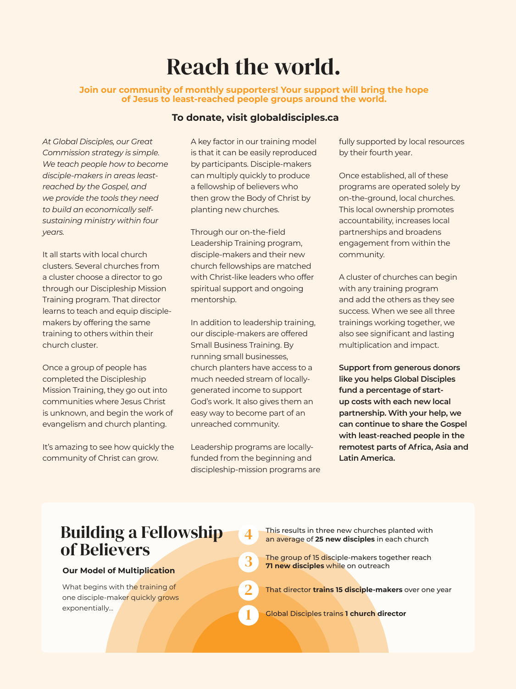## Reach the world.

#### **Join our community of monthly supporters! Your support will bring the hope of Jesus to least-reached people groups around the world.**

#### **To donate, visit globaldisciples.ca**

*At Global Disciples, our Great Commission strategy is simple. We teach people how to become disciple-makers in areas leastreached by the Gospel, and we provide the tools they need to build an economically selfsustaining ministry within four years.*

It all starts with local church clusters. Several churches from a cluster choose a director to go through our Discipleship Mission Training program. That director learns to teach and equip disciplemakers by offering the same training to others within their church cluster.

Once a group of people has completed the Discipleship Mission Training, they go out into communities where Jesus Christ is unknown, and begin the work of evangelism and church planting.

It's amazing to see how quickly the community of Christ can grow.

A key factor in our training model is that it can be easily reproduced by participants. Disciple-makers can multiply quickly to produce a fellowship of believers who then grow the Body of Christ by planting new churches.

Through our on-the-field Leadership Training program, disciple-makers and their new church fellowships are matched with Christ-like leaders who offer spiritual support and ongoing mentorship.

In addition to leadership training, our disciple-makers are offered Small Business Training. By running small businesses, church planters have access to a much needed stream of locallygenerated income to support God's work. It also gives them an easy way to become part of an unreached community.

Leadership programs are locallyfunded from the beginning and discipleship-mission programs are

1

2

3

4

fully supported by local resources by their fourth year.

Once established, all of these programs are operated solely by on-the-ground, local churches. This local ownership promotes accountability, increases local partnerships and broadens engagement from within the community.

A cluster of churches can begin with any training program and add the others as they see success. When we see all three trainings working together, we also see significant and lasting multiplication and impact.

**Support from generous donors like you helps Global Disciples fund a percentage of startup costs with each new local partnership. With your help, we can continue to share the Gospel with least-reached people in the remotest parts of Africa, Asia and Latin America.** 

### Building a Fellowship of Believers

#### **Our Model of Multiplication**

What begins with the training of one disciple-maker quickly grows exponentially…

- This results in three new churches planted with an average of **25 new disciples** in each church
- The group of 15 disciple-makers together reach **71 new disciples** while on outreach
- That director **trains 15 disciple-makers** over one year
- Global Disciples trains **1 church director**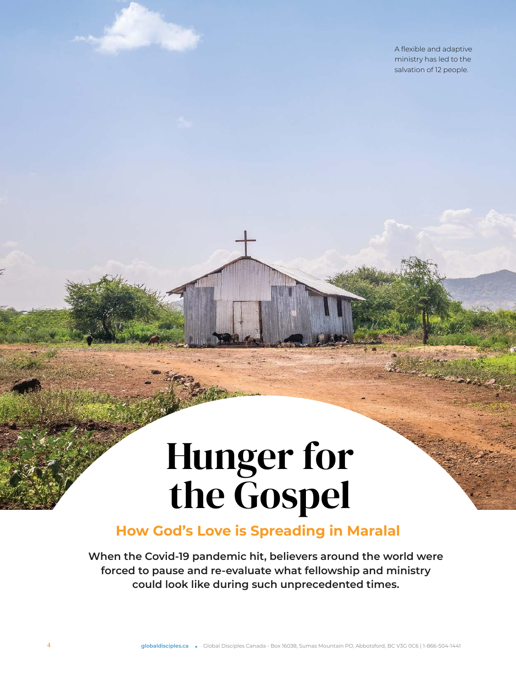A flexible and adaptive ministry has led to the salvation of 12 people.

# Hunger for the Gospel

### **How God's Love is Spreading in Maralal**

**When the Covid-19 pandemic hit, believers around the world were forced to pause and re-evaluate what fellowship and ministry could look like during such unprecedented times.**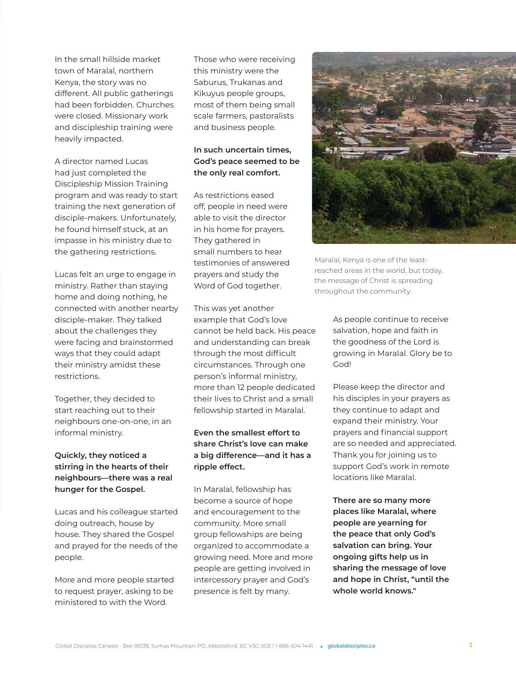In the small hillside market town of Maralal, northern Kenya, the story was no different. All public gatherings had been forbidden. Churches were closed. Missionary work and discipleship training were heavily impacted.

A director named Lucas had just completed the Discipleship Mission Training program and was ready to start training the next generation of disciple-makers. Unfortunately, he found himself stuck, at an impasse in his ministry due to the gathering restrictions.

Lucas felt an urge to engage in ministry. Rather than staying home and doing nothing, he connected with another nearby disciple-maker. They talked about the challenges they were facing and brainstormed ways that they could adapt their ministry amidst these restrictions.

Together, they decided to start reaching out to their neighbours one-on-one, in an informal ministry.

#### **Quickly, they noticed a stirring in the hearts of their neighbours—there was a real hunger for the Gospel.**

Lucas and his colleague started doing outreach, house by house. They shared the Gospel and prayed for the needs of the people.

More and more people started to request prayer, asking to be ministered to with the Word.

Those who were receiving this ministry were the Saburus, Trukanas and Kikuyus people groups, most of them being small scale farmers, pastoralists and business people.

#### **In such uncertain times, God's peace seemed to be the only real comfort.**

As restrictions eased off, people in need were able to visit the director in his home for prayers. They gathered in small numbers to hear testimonies of answered prayers and study the Word of God together.

This was yet another example that God's love cannot be held back. His peace and understanding can break through the most difficult circumstances. Through one person's informal ministry, more than 12 people dedicated their lives to Christ and a small fellowship started in Maralal.

#### **Even the smallest effort to share Christ's love can make a big difference—and it has a ripple effect.**

In Maralal, fellowship has become a source of hope and encouragement to the community. More small group fellowships are being organized to accommodate a growing need. More and more people are getting involved in intercessory prayer and God's presence is felt by many.



Maralal, Kenya is one of the leastreached areas in the world, but today, the message of Christ is spreading throughout the community.

> As people continue to receive salvation, hope and faith in the goodness of the Lord is growing in Maralal. Glory be to God!

Please keep the director and his disciples in your prayers as they continue to adapt and expand their ministry. Your prayers and financial support are so needed and appreciated. Thank you for joining us to support God's work in remote locations like Maralal.

**There are so many more places like Maralal, where people are yearning for the peace that only God's salvation can bring. Your ongoing gifts help us in sharing the message of love and hope in Christ, "until the whole world knows."**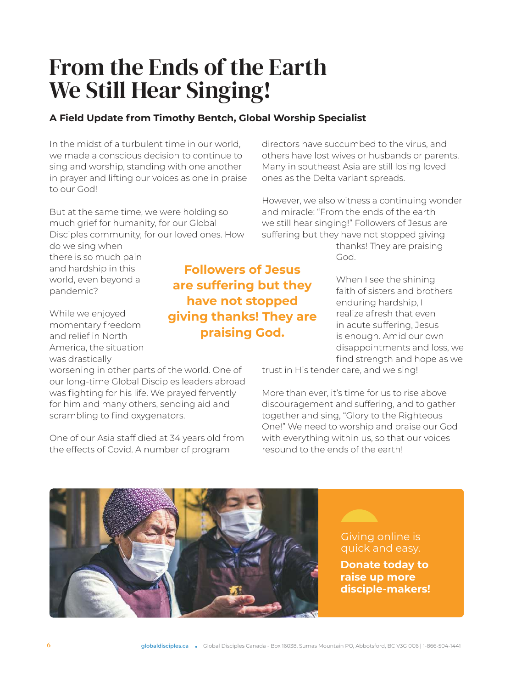## From the Ends of the Earth We Still Hear Singing!

#### **A Field Update from Timothy Bentch, Global Worship Specialist**

In the midst of a turbulent time in our world, we made a conscious decision to continue to sing and worship, standing with one another in prayer and lifting our voices as one in praise to our God!

But at the same time, we were holding so much grief for humanity, for our Global Disciples community, for our loved ones. How

do we sing when there is so much pain and hardship in this world, even beyond a pandemic?

While we enjoyed momentary freedom and relief in North America, the situation was drastically

worsening in other parts of the world. One of our long-time Global Disciples leaders abroad was fighting for his life. We prayed fervently for him and many others, sending aid and scrambling to find oxygenators.

One of our Asia staff died at 34 years old from the effects of Covid. A number of program

directors have succumbed to the virus, and others have lost wives or husbands or parents. Many in southeast Asia are still losing loved ones as the Delta variant spreads.

However, we also witness a continuing wonder and miracle: "From the ends of the earth we still hear singing!" Followers of Jesus are suffering but they have not stopped giving

> thanks! They are praising God.

When I see the shining faith of sisters and brothers enduring hardship, I realize afresh that even in acute suffering, Jesus is enough. Amid our own disappointments and loss, we find strength and hope as we

trust in His tender care, and we sing!

More than ever, it's time for us to rise above discouragement and suffering, and to gather together and sing, "Glory to the Righteous One!" We need to worship and praise our God with everything within us, so that our voices resound to the ends of the earth!

> Giving online is quick and easy.

**Donate today to raise up more disciple-makers!**

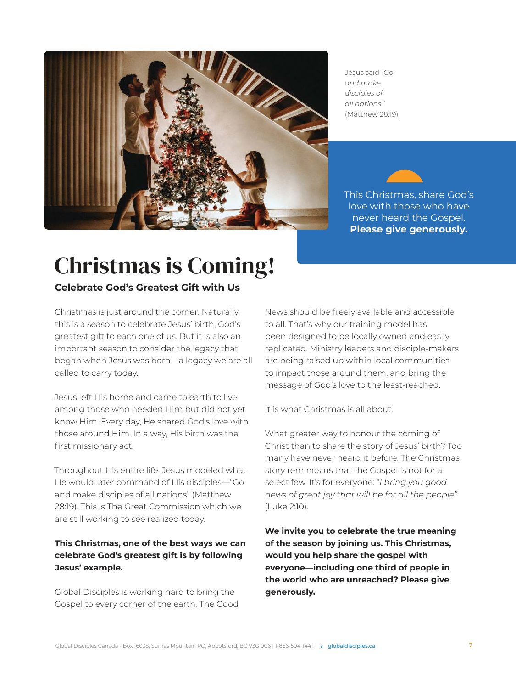

Jesus said "*Go and make disciples of all nations.*" (Matthew 28:19)



# Christmas is Coming!

#### **Celebrate God's Greatest Gift with Us**

Christmas is just around the corner. Naturally, this is a season to celebrate Jesus' birth, God's greatest gift to each one of us. But it is also an important season to consider the legacy that began when Jesus was born—a legacy we are all called to carry today.

Jesus left His home and came to earth to live among those who needed Him but did not yet know Him. Every day, He shared God's love with those around Him. In a way, His birth was the first missionary act.

Throughout His entire life, Jesus modeled what He would later command of His disciples—"Go and make disciples of all nations" (Matthew 28:19). This is The Great Commission which we are still working to see realized today.

#### **This Christmas, one of the best ways we can celebrate God's greatest gift is by following Jesus' example.**

Global Disciples is working hard to bring the Gospel to every corner of the earth. The Good News should be freely available and accessible to all. That's why our training model has been designed to be locally owned and easily replicated. Ministry leaders and disciple-makers are being raised up within local communities to impact those around them, and bring the message of God's love to the least-reached.

It is what Christmas is all about.

What greater way to honour the coming of Christ than to share the story of Jesus' birth? Too many have never heard it before. The Christmas story reminds us that the Gospel is not for a select few. It's for everyone: "*I bring you good news of great joy that will be for all the people"* (Luke 2:10).

**We invite you to celebrate the true meaning of the season by joining us. This Christmas, would you help share the gospel with everyone—including one third of people in the world who are unreached? Please give generously.**